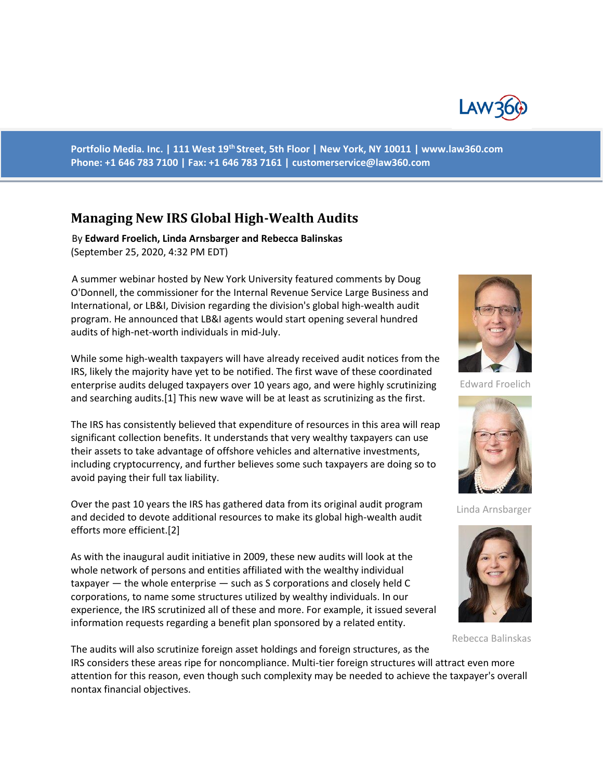

**Portfolio Media. Inc. | 111 West 19th Street, 5th Floor | New York, NY 10011 | www.law360.com Phone: +1 646 783 7100 | Fax: +1 646 783 7161 | customerservice@law360.com**

## **Managing New IRS Global High-Wealth Audits**

 By **Edward Froelich, Linda Arnsbarger and Rebecca Balinskas** (September 25, 2020, 4:32 PM EDT)

 A summer webinar hosted by New York University featured comments by Doug O'Donnell, the commissioner for the Internal Revenue Service Large Business and International, or LB&I, Division regarding the division's global high-wealth audit program. He announced that LB&I agents would start opening several hundred audits of high-net-worth individuals in mid-July.

While some high-wealth taxpayers will have already received audit notices from the IRS, likely the majority have yet to be notified. The first wave of these coordinated enterprise audits deluged taxpayers over 10 years ago, and were highly scrutinizing and searching audits.[1] This new wave will be at least as scrutinizing as the first.

The IRS has consistently believed that expenditure of resources in this area will reap significant collection benefits. It understands that very wealthy taxpayers can use their assets to take advantage of offshore vehicles and alternative investments, including cryptocurrency, and further believes some such taxpayers are doing so to avoid paying their full tax liability.

Over the past 10 years the IRS has gathered data from its original audit program and decided to devote additional resources to make its global high-wealth audit efforts more efficient.[2]

As with the inaugural audit initiative in 2009, these new audits will look at the whole network of persons and entities affiliated with the wealthy individual taxpayer — the whole enterprise — such as S corporations and closely held C corporations, to name some structures utilized by wealthy individuals. In our experience, the IRS scrutinized all of these and more. For example, it issued several information requests regarding a benefit plan sponsored by a related entity.



Edward Froelich



Linda Arnsbarger



Rebecca Balinskas

The audits will also scrutinize foreign asset holdings and foreign structures, as the IRS considers these areas ripe for noncompliance. Multi-tier foreign structures will attract even more attention for this reason, even though such complexity may be needed to achieve the taxpayer's overall nontax financial objectives.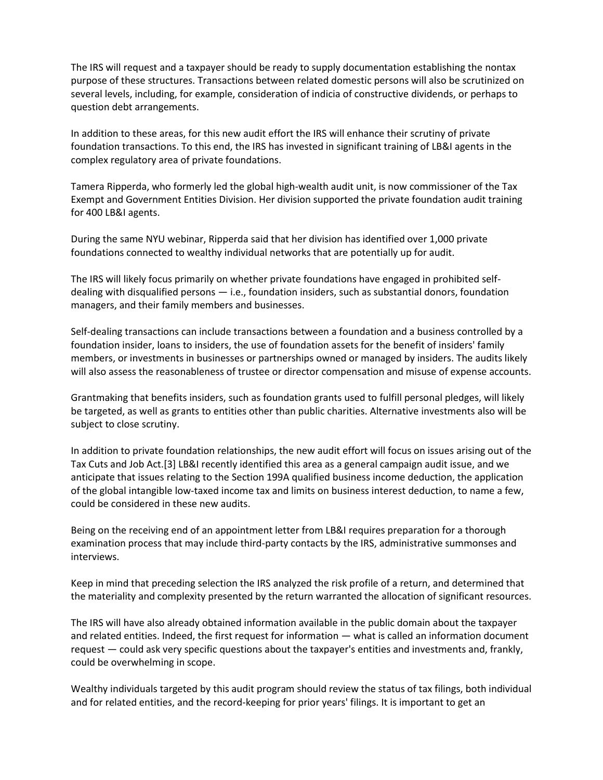The IRS will request and a taxpayer should be ready to supply documentation establishing the nontax purpose of these structures. Transactions between related domestic persons will also be scrutinized on several levels, including, for example, consideration of indicia of constructive dividends, or perhaps to question debt arrangements.

In addition to these areas, for this new audit effort the IRS will enhance their scrutiny of private foundation transactions. To this end, the IRS has invested in significant training of LB&I agents in the complex regulatory area of private foundations.

Tamera Ripperda, who formerly led the global high-wealth audit unit, is now commissioner of the Tax Exempt and Government Entities Division. Her division supported the private foundation audit training for 400 LB&I agents.

During the same NYU webinar, Ripperda said that her division has identified over 1,000 private foundations connected to wealthy individual networks that are potentially up for audit.

The IRS will likely focus primarily on whether private foundations have engaged in prohibited selfdealing with disqualified persons — i.e., foundation insiders, such as substantial donors, foundation managers, and their family members and businesses.

Self-dealing transactions can include transactions between a foundation and a business controlled by a foundation insider, loans to insiders, the use of foundation assets for the benefit of insiders' family members, or investments in businesses or partnerships owned or managed by insiders. The audits likely will also assess the reasonableness of trustee or director compensation and misuse of expense accounts.

Grantmaking that benefits insiders, such as foundation grants used to fulfill personal pledges, will likely be targeted, as well as grants to entities other than public charities. Alternative investments also will be subject to close scrutiny.

In addition to private foundation relationships, the new audit effort will focus on issues arising out of the Tax Cuts and Job Act.[3] LB&I recently identified this area as a general campaign audit issue, and we anticipate that issues relating to the Section 199A qualified business income deduction, the application of the global intangible low-taxed income tax and limits on business interest deduction, to name a few, could be considered in these new audits.

Being on the receiving end of an appointment letter from LB&I requires preparation for a thorough examination process that may include third-party contacts by the IRS, administrative summonses and interviews.

Keep in mind that preceding selection the IRS analyzed the risk profile of a return, and determined that the materiality and complexity presented by the return warranted the allocation of significant resources.

The IRS will have also already obtained information available in the public domain about the taxpayer and related entities. Indeed, the first request for information — what is called an information document request — could ask very specific questions about the taxpayer's entities and investments and, frankly, could be overwhelming in scope.

Wealthy individuals targeted by this audit program should review the status of tax filings, both individual and for related entities, and the record-keeping for prior years' filings. It is important to get an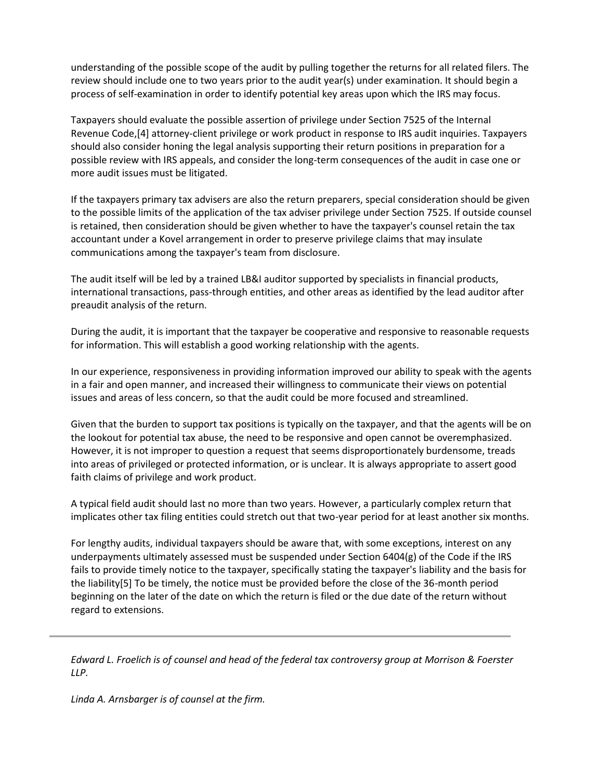understanding of the possible scope of the audit by pulling together the returns for all related filers. The review should include one to two years prior to the audit year(s) under examination. It should begin a process of self-examination in order to identify potential key areas upon which the IRS may focus.

Taxpayers should evaluate the possible assertion of privilege under Section 7525 of the Internal Revenue Code,[4] attorney-client privilege or work product in response to IRS audit inquiries. Taxpayers should also consider honing the legal analysis supporting their return positions in preparation for a possible review with IRS appeals, and consider the long-term consequences of the audit in case one or more audit issues must be litigated.

If the taxpayers primary tax advisers are also the return preparers, special consideration should be given to the possible limits of the application of the tax adviser privilege under Section 7525. If outside counsel is retained, then consideration should be given whether to have the taxpayer's counsel retain the tax accountant under a Kovel arrangement in order to preserve privilege claims that may insulate communications among the taxpayer's team from disclosure.

The audit itself will be led by a trained LB&I auditor supported by specialists in financial products, international transactions, pass-through entities, and other areas as identified by the lead auditor after preaudit analysis of the return.

During the audit, it is important that the taxpayer be cooperative and responsive to reasonable requests for information. This will establish a good working relationship with the agents.

In our experience, responsiveness in providing information improved our ability to speak with the agents in a fair and open manner, and increased their willingness to communicate their views on potential issues and areas of less concern, so that the audit could be more focused and streamlined.

Given that the burden to support tax positions is typically on the taxpayer, and that the agents will be on the lookout for potential tax abuse, the need to be responsive and open cannot be overemphasized. However, it is not improper to question a request that seems disproportionately burdensome, treads into areas of privileged or protected information, or is unclear. It is always appropriate to assert good faith claims of privilege and work product.

A typical field audit should last no more than two years. However, a particularly complex return that implicates other tax filing entities could stretch out that two-year period for at least another six months.

For lengthy audits, individual taxpayers should be aware that, with some exceptions, interest on any underpayments ultimately assessed must be suspended under Section 6404(g) of the Code if the IRS fails to provide timely notice to the taxpayer, specifically stating the taxpayer's liability and the basis for the liability[5] To be timely, the notice must be provided before the close of the 36-month period beginning on the later of the date on which the return is filed or the due date of the return without regard to extensions.

*Edward L. Froelich is of counsel and head of the federal tax controversy group at Morrison & Foerster LLP.*

*Linda A. Arnsbarger is of counsel at the firm.*